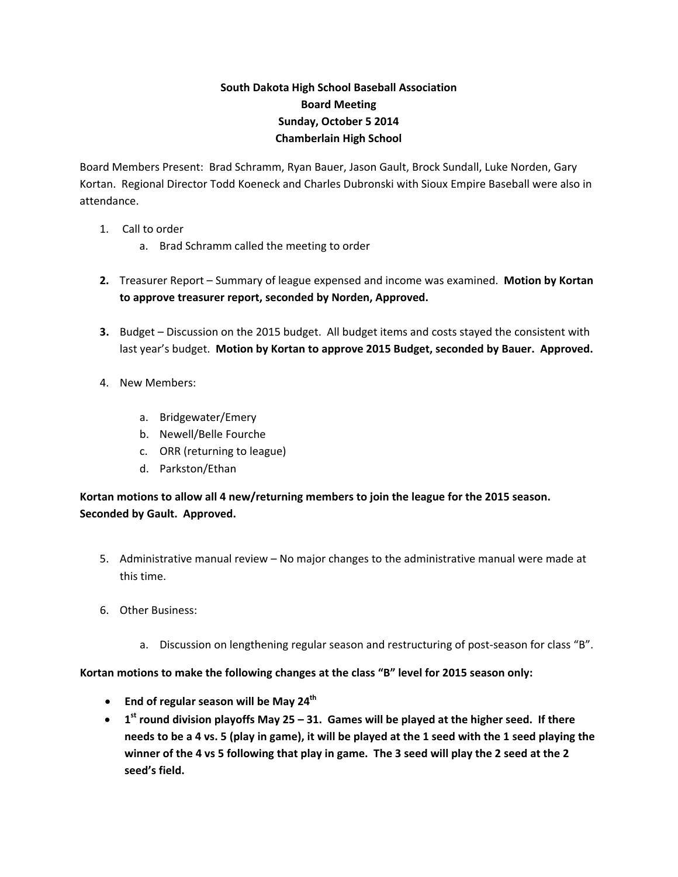## **South Dakota High School Baseball Association Board Meeting Sunday, October 5 2014 Chamberlain High School**

Board Members Present: Brad Schramm, Ryan Bauer, Jason Gault, Brock Sundall, Luke Norden, Gary Kortan. Regional Director Todd Koeneck and Charles Dubronski with Sioux Empire Baseball were also in attendance.

- 1. Call to order
	- a. Brad Schramm called the meeting to order
- **2.** Treasurer Report Summary of league expensed and income was examined. **Motion by Kortan to approve treasurer report, seconded by Norden, Approved.**
- **3.** Budget Discussion on the 2015 budget. All budget items and costs stayed the consistent with last year's budget. **Motion by Kortan to approve 2015 Budget, seconded by Bauer. Approved.**
- 4. New Members:
	- a. Bridgewater/Emery
	- b. Newell/Belle Fourche
	- c. ORR (returning to league)
	- d. Parkston/Ethan

**Kortan motions to allow all 4 new/returning members to join the league for the 2015 season. Seconded by Gault. Approved.**

- 5. Administrative manual review No major changes to the administrative manual were made at this time.
- 6. Other Business:
	- a. Discussion on lengthening regular season and restructuring of post-season for class "B".

**Kortan motions to make the following changes at the class "B" level for 2015 season only:**

- **End of regular season will be May 24th**
- 1<sup>st</sup> round division playoffs May 25 31. Games will be played at the higher seed. If there needs to be a 4 vs. 5 (play in game), it will be played at the 1 seed with the 1 seed playing the winner of the 4 vs 5 following that play in game. The 3 seed will play the 2 seed at the 2 **seed's field.**